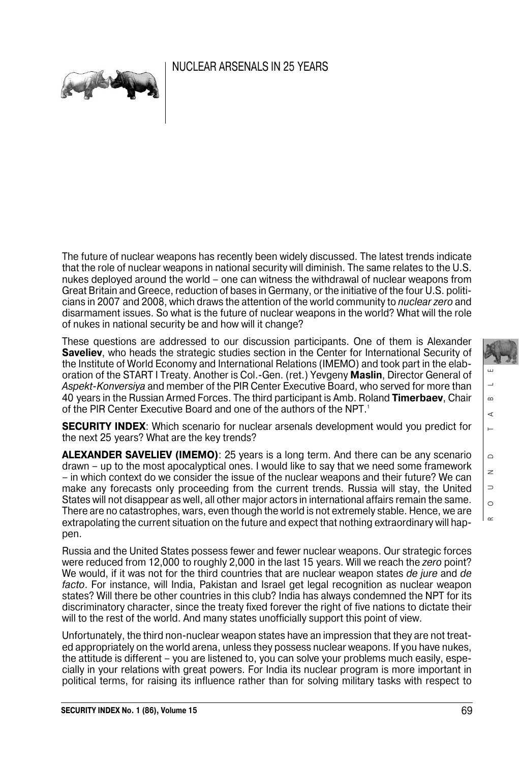## NUCLEAR ARSENALS IN 25 YEARS



The future of nuclear weapons has recently been widely discussed. The latest trends indicate that the role of nuclear weapons in national security will diminish. The same relates to the U.S. nukes deployed around the world – one can witness the withdrawal of nuclear weapons from Great Britain and Greece, reduction of bases in Germany, or the initiative of the four U.S. politi cians in 2007 and 2008, which draws the attention of the world community to *nuclear zero* and disarmament issues. So what is the future of nuclear weapons in the world? What will the role of nukes in national security be and how will it change?

These questions are addressed to our discussion participants. One of them is Alexander **Saveliev**, who heads the strategic studies section in the Center for International Security of the Institute of World Economy and International Relations (IMEMO) and took part in the elab oration of the START I Treaty. Another is Col.-Gen. (ret.) Yevgeny **Maslin**, Director General of *Aspekt-Konversiya* and member of the PIR Center Executive Board, who served for more than 40 years in the Russian Armed Forces. The third participant is Amb. Roland **Timerbaev**, Chair of the PIR Center Executive Board and one of the authors of the NPT.<sup>1</sup>

**SECURITY INDEX**: Which scenario for nuclear arsenals development would you predict for the next 25 years? What are the key trends?

**ALEXANDER SAVELIEV (IMEMO)**: 25 years is a long term. And there can be any scenario drawn – up to the most apocalyptical ones. I would like to say that we need some framework – in which context do we consider the issue of the nuclear weapons and their future? We can make any forecasts only proceeding from the current trends. Russia will stay, the United States will not disappear as well, all other major actors in international affairs remain the same. There are no catastrophes, wars, even though the world is not extremely stable. Hence, we are extrapolating the current situation on the future and expect that nothing extraordinary will hap pen.

Russia and the United States possess fewer and fewer nuclear weapons. Our strategic forces were reduced from 12,000 to roughly 2,000 in the last 15 years. Will we reach the *zero* point? We would, if it was not for the third countries that are nuclear weapon states *de jure* and *de facto*. For instance, will India, Pakistan and Israel get legal recognition as nuclear weapon states? Will there be other countries in this club? India has always condemned the NPT for its discriminatory character, since the treaty fixed forever the right of five nations to dictate their will to the rest of the world. And many states unofficially support this point of view.

Unfortunately, the third non-nuclear weapon states have an impression that they are not treat ed appropriately on the world arena, unless they possess nuclear weapons. If you have nukes, the attitude is different – you are listened to, you can solve your problems much easily, espe cially in your relations with great powers. For India its nuclear program is more important in political terms, for raising its influence rather than for solving military tasks with respect to

 $\circ$  $\sim$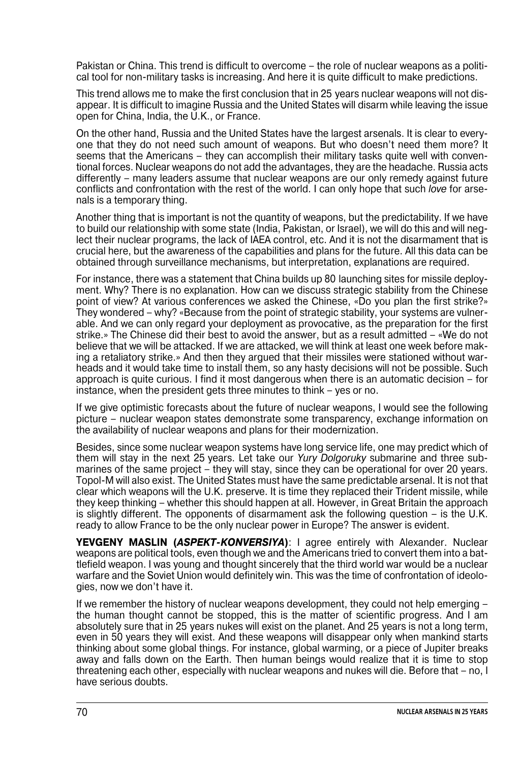Pakistan or China. This trend is difficult to overcome – the role of nuclear weapons as a political tool for non-military tasks is increasing. And here it is quite difficult to make predictions.

This trend allows me to make the first conclusion that in 25 years nuclear weapons will not dis appear. It is difficult to imagine Russia and the United States will disarm while leaving the issue open for China, India, the U.K., or France.

On the other hand, Russia and the United States have the largest arsenals. It is clear to every one that they do not need such amount of weapons. But who doesn't need them more? It seems that the Americans – they can accomplish their military tasks quite well with conven tional forces. Nuclear weapons do not add the advantages, they are the headache. Russia acts differently – many leaders assume that nuclear weapons are our only remedy against future conflicts and confrontation with the rest of the world. I can only hope that such *love* for arse nals is a temporary thing.

Another thing that is important is not the quantity of weapons, but the predictability. If we have to build our relationship with some state (India, Pakistan, or Israel), we will do this and will neg lect their nuclear programs, the lack of IAEA control, etc. And it is not the disarmament that is crucial here, but the awareness of the capabilities and plans for the future. All this data can be obtained through surveillance mechanisms, but interpretation, explanations are required.

For instance, there was a statement that China builds up 80 launching sites for missile deploy ment. Why? There is no explanation. How can we discuss strategic stability from the Chinese point of view? At various conferences we asked the Chinese, «Do you plan the first strike?» They wondered – why? «Because from the point of strategic stability, your systems are vulner able. And we can only regard your deployment as provocative, as the preparation for the first strike.» The Chinese did their best to avoid the answer, but as a result admitted – «We do not believe that we will be attacked. If we are attacked, we will think at least one week before mak ing a retaliatory strike.» And then they argued that their missiles were stationed without war heads and it would take time to install them, so any hasty decisions will not be possible. Such approach is quite curious. I find it most dangerous when there is an automatic decision – for instance, when the president gets three minutes to think – yes or no.

If we give optimistic forecasts about the future of nuclear weapons, I would see the following picture – nuclear weapon states demonstrate some transparency, exchange information on the availability of nuclear weapons and plans for their modernization.

Besides, since some nuclear weapon systems have long service life, one may predict which of them will stay in the next 25 years. Let take our *Yury Dolgoruky* submarine and three sub marines of the same project – they will stay, since they can be operational for over 20 years. Topol-M will also exist. The United States must have the same predictable arsenal. It is not that clear which weapons will the U.K. preserve. It is time they replaced their Trident missile, while they keep thinking – whether this should happen at all. However, in Great Britain the approach is slightly different. The opponents of disarmament ask the following question – is the U.K. ready to allow France to be the only nuclear power in Europe? The answer is evident.

**YEVGENY MASLIN (***ASPEKT-KONVERSIYA***)**: I agree entirely with Alexander. Nuclear weapons are political tools, even though we and the Americans tried to convert them into a bat tlefield weapon. I was young and thought sincerely that the third world war would be a nuclear warfare and the Soviet Union would definitely win. This was the time of confrontation of ideolo gies, now we don't have it.

If we remember the history of nuclear weapons development, they could not help emerging – the human thought cannot be stopped, this is the matter of scientific progress. And I am absolutely sure that in 25 years nukes will exist on the planet. And 25 years is not a long term, even in 50 years they will exist. And these weapons will disappear only when mankind starts thinking about some global things. For instance, global warming, or a piece of Jupiter breaks away and falls down on the Earth. Then human beings would realize that it is time to stop threatening each other, especially with nuclear weapons and nukes will die. Before that – no, I have serious doubts.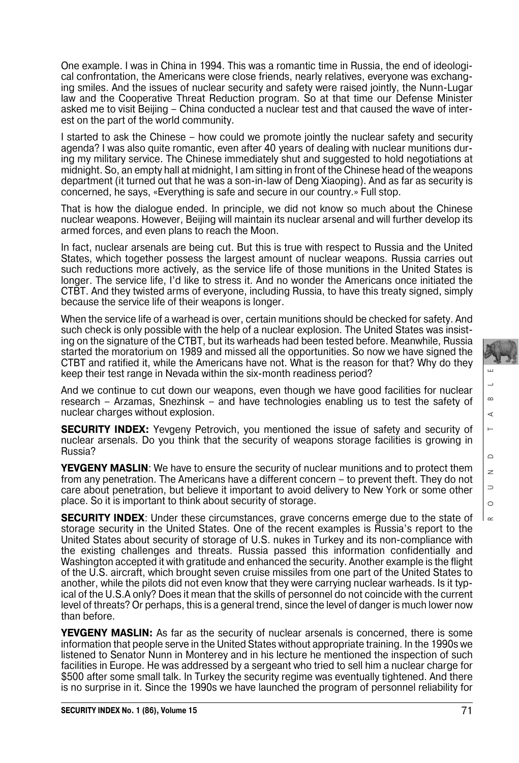ROUND TABLE $\prec$  $\cap$  $\rightarrow$  $\Rightarrow$  $\circ$  $\sim$ 

One example. I was in China in 1994. This was a romantic time in Russia, the end of ideological confrontation, the Americans were close friends, nearly relatives, everyone was exchang ing smiles. And the issues of nuclear security and safety were raised jointly, the Nunn-Lugar law and the Cooperative Threat Reduction program. So at that time our Defense Minister asked me to visit Beijing – China conducted a nuclear test and that caused the wave of interest on the part of the world community.

I started to ask the Chinese – how could we promote jointly the nuclear safety and security agenda? I was also quite romantic, even after 40 years of dealing with nuclear munitions dur ing my military service. The Chinese immediately shut and suggested to hold negotiations at midnight. So, an empty hall at midnight, I am sitting in front of the Chinese head of the weapons department (it turned out that he was a son-in-law of Deng Xiaoping). And as far as security is concerned, he says, «Everything is safe and secure in our country.» Full stop.

That is how the dialogue ended. In principle, we did not know so much about the Chinese nuclear weapons. However, Beijing will maintain its nuclear arsenal and will further develop its armed forces, and even plans to reach the Moon.

In fact, nuclear arsenals are being cut. But this is true with respect to Russia and the United States, which together possess the largest amount of nuclear weapons. Russia carries out such reductions more actively, as the service life of those munitions in the United States is longer. The service life, I'd like to stress it. And no wonder the Americans once initiated the CTBT. And they twisted arms of everyone, including Russia, to have this treaty signed, simply because the service life of their weapons is longer.

When the service life of a warhead is over, certain munitions should be checked for safety. And such check is only possible with the help of a nuclear explosion. The United States was insist ing on the signature of the CTBT, but its warheads had been tested before. Meanwhile, Russia started the moratorium on 1989 and missed all the opportunities. So now we have signed the CTBT and ratified it, while the Americans have not. What is the reason for that? Why do they keep their test range in Nevada within the six-month readiness period?

And we continue to cut down our weapons, even though we have good facilities for nuclear research – Arzamas, Snezhinsk – and have technologies enabling us to test the safety of nuclear charges without explosion.

**SECURITY INDEX:** Yevgeny Petrovich, you mentioned the issue of safety and security of nuclear arsenals. Do you think that the security of weapons storage facilities is growing in Russia?

**YEVGENY MASLIN**: We have to ensure the security of nuclear munitions and to protect them from any penetration. The Americans have a different concern – to prevent theft. They do not care about penetration, but believe it important to avoid delivery to New York or some other place. So it is important to think about security of storage.

**SECURITY INDEX**: Under these circumstances, grave concerns emerge due to the state of storage security in the United States. One of the recent examples is Russia's report to the United States about security of storage of U.S. nukes in Turkey and its non-compliance with the existing challenges and threats. Russia passed this information confidentially and Washington accepted it with gratitude and enhanced the security. Another example is the flight of the U.S. aircraft, which brought seven cruise missiles from one part of the United States to another, while the pilots did not even know that they were carrying nuclear warheads. Is it typ ical of the U.S.A only? Does it mean that the skills of personnel do not coincide with the current level of threats? Or perhaps, this is a general trend, since the level of danger is much lower now than before.

**YEVGENY MASLIN:** As far as the security of nuclear arsenals is concerned, there is some information that people serve in the United States without appropriate training. In the 1990s we listened to Senator Nunn in Monterey and in his lecture he mentioned the inspection of such facilities in Europe. He was addressed by a sergeant who tried to sell him a nuclear charge for \$500 after some small talk. In Turkey the security regime was eventually tightened. And there is no surprise in it. Since the 1990s we have launched the program of personnel reliability for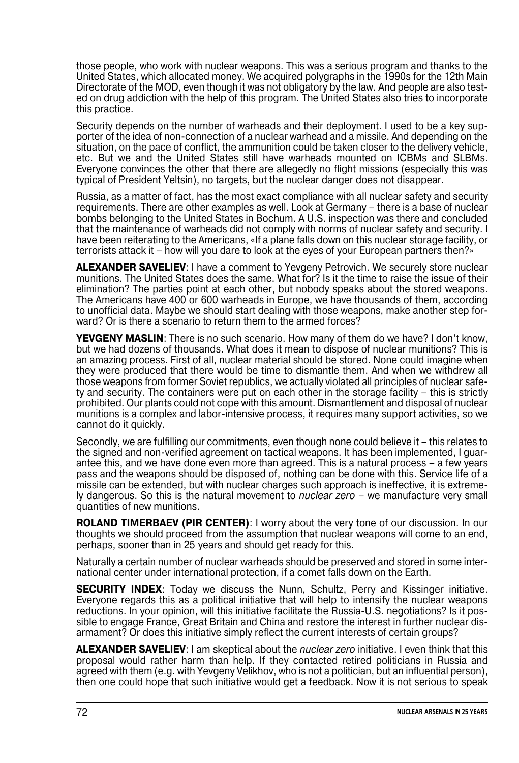those people, who work with nuclear weapons. This was a serious program and thanks to the United States, which allocated money. We acquired polygraphs in the 1990s for the 12th Main Directorate of the MOD, even though it was not obligatory by the law. And people are also test ed on drug addiction with the help of this program. The United States also tries to incorporate this practice.

Security depends on the number of warheads and their deployment. I used to be a key sup porter of the idea of non-connection of a nuclear warhead and a missile. And depending on the situation, on the pace of conflict, the ammunition could be taken closer to the delivery vehicle, etc. But we and the United States still have warheads mounted on ICBMs and SLBMs. Everyone convinces the other that there are allegedly no flight missions (especially this was typical of President Yeltsin), no targets, but the nuclear danger does not disappear.

Russia, as a matter of fact, has the most exact compliance with all nuclear safety and security requirements. There are other examples as well. Look at Germany – there is a base of nuclear bombs belonging to the United States in Bochum. A U.S. inspection was there and concluded that the maintenance of warheads did not comply with norms of nuclear safety and security. I have been reiterating to the Americans, «If a plane falls down on this nuclear storage facility, or terrorists attack it – how will you dare to look at the eyes of your European partners then?»

**ALEXANDER SAVELIEV**: I have a comment to Yevgeny Petrovich. We securely store nuclear munitions. The United States does the same. What for? Is it the time to raise the issue of their elimination? The parties point at each other, but nobody speaks about the stored weapons. The Americans have 400 or 600 warheads in Europe, we have thousands of them, according to unofficial data. Maybe we should start dealing with those weapons, make another step for ward? Or is there a scenario to return them to the armed forces?

**YEVGENY MASLIN:** There is no such scenario. How many of them do we have? I don't know, but we had dozens of thousands. What does it mean to dispose of nuclear munitions? This is an amazing process. First of all, nuclear material should be stored. None could imagine when they were produced that there would be time to dismantle them. And when we withdrew all those weapons from former Soviet republics, we actually violated all principles of nuclear safe ty and security. The containers were put on each other in the storage facility – this is strictly prohibited. Our plants could not cope with this amount. Dismantlement and disposal of nuclear munitions is a complex and labor-intensive process, it requires many support activities, so we cannot do it quickly.

Secondly, we are fulfilling our commitments, even though none could believe it – this relates to the signed and non-verified agreement on tactical weapons. It has been implemented, I guarantee this, and we have done even more than agreed. This is a natural process – a few years pass and the weapons should be disposed of, nothing can be done with this. Service life of a missile can be extended, but with nuclear charges such approach is ineffective, it is extreme ly dangerous. So this is the natural movement to *nuclear zero* – we manufacture very small quantities of new munitions.

**ROLAND TIMERBAEV (PIR CENTER)**: I worry about the very tone of our discussion. In our thoughts we should proceed from the assumption that nuclear weapons will come to an end, perhaps, sooner than in 25 years and should get ready for this.

Naturally a certain number of nuclear warheads should be preserved and stored in some international center under international protection, if a comet falls down on the Earth.

**SECURITY INDEX:** Today we discuss the Nunn, Schultz, Perry and Kissinger initiative. Everyone regards this as a political initiative that will help to intensify the nuclear weapons reductions. In your opinion, will this initiative facilitate the Russia-U.S. negotiations? Is it pos sible to engage France, Great Britain and China and restore the interest in further nuclear dis armament? Or does this initiative simply reflect the current interests of certain groups?

**ALEXANDER SAVELIEV**: I am skeptical about the *nuclear zero* initiative. I even think that this proposal would rather harm than help. If they contacted retired politicians in Russia and agreed with them (e.g. with Yevgeny Velikhov, who is not a politician, but an influential person), then one could hope that such initiative would get a feedback. Now it is not serious to speak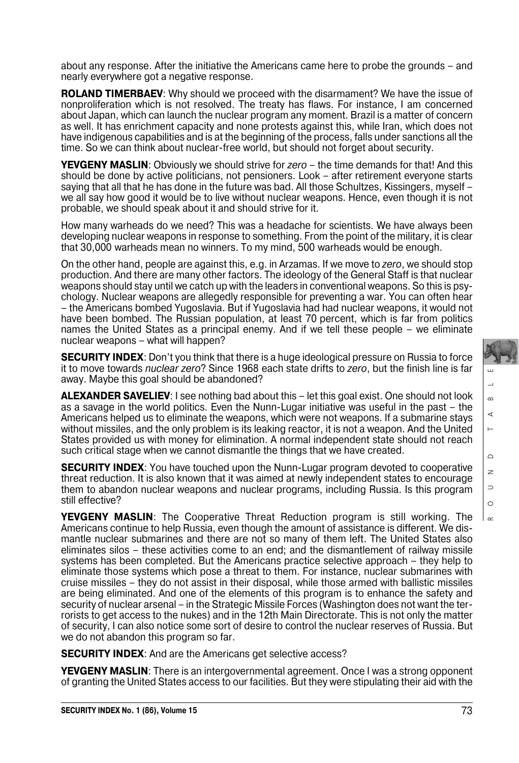about any response. After the initiative the Americans came here to probe the grounds – and nearly everywhere got a negative response.

**ROLAND TIMERBAEV**: Why should we proceed with the disarmament? We have the issue of nonproliferation which is not resolved. The treaty has flaws. For instance, I am concerned about Japan, which can launch the nuclear program any moment. Brazil is a matter of concern as well. It has enrichment capacity and none protests against this, while Iran, which does not have indigenous capabilities and is at the beginning of the process, falls under sanctions all the time. So we can think about nuclear-free world, but should not forget about security.

**YEVGENY MASLIN**: Obviously we should strive for *zero* – the time demands for that! And this should be done by active politicians, not pensioners. Look – after retirement everyone starts saying that all that he has done in the future was bad. All those Schultzes, Kissingers, myself – we all say how good it would be to live without nuclear weapons. Hence, even though it is not probable, we should speak about it and should strive for it.

How many warheads do we need? This was a headache for scientists. We have always been developing nuclear weapons in response to something. From the point of the military, it is clear that 30,000 warheads mean no winners. To my mind, 500 warheads would be enough.

On the other hand, people are against this, e.g. in Arzamas. If we move to *zero*, we should stop production. And there are many other factors. The ideology of the General Staff is that nuclear weapons should stay until we catch up with the leaders in conventional weapons. So this is psychology. Nuclear weapons are allegedly responsible for preventing a war. You can often hear – the Americans bombed Yugoslavia. But if Yugoslavia had had nuclear weapons, it would not have been bombed. The Russian population, at least 70 percent, which is far from politics names the United States as a principal enemy. And if we tell these people – we eliminate nuclear weapons – what will happen?

**SECURITY INDEX**: Don't you think that there is a huge ideological pressure on Russia to force it to move towards *nuclear zero*? Since 1968 each state drifts to *zero*, but the finish line is far away. Maybe this goal should be abandoned?

**ALEXANDER SAVELIEV**: I see nothing bad about this – let this goal exist. One should not look as a savage in the world politics. Even the Nunn-Lugar initiative was useful in the past – the Americans helped us to eliminate the weapons, which were not weapons. If a submarine stays without missiles, and the only problem is its leaking reactor, it is not a weapon. And the United States provided us with money for elimination. A normal independent state should not reach such critical stage when we cannot dismantle the things that we have created.

**SECURITY INDEX**: You have touched upon the Nunn-Lugar program devoted to cooperative threat reduction. It is also known that it was aimed at newly independent states to encourage them to abandon nuclear weapons and nuclear programs, including Russia. Is this program still effective?

**YEVGENY MASLIN**: The Cooperative Threat Reduction program is still working. The Americans continue to help Russia, even though the amount of assistance is different. We dis mantle nuclear submarines and there are not so many of them left. The United States also eliminates silos – these activities come to an end; and the dismantlement of railway missile systems has been completed. But the Americans practice selective approach – they help to eliminate those systems which pose a threat to them. For instance, nuclear submarines with cruise missiles – they do not assist in their disposal, while those armed with ballistic missiles are being eliminated. And one of the elements of this program is to enhance the safety and security of nuclear arsenal – in the Strategic Missile Forces (Washington does not want the ter rorists to get access to the nukes) and in the 12th Main Directorate. This is not only the matter of security, I can also notice some sort of desire to control the nuclear reserves of Russia. But we do not abandon this program so far.

**SECURITY INDEX**: And are the Americans get selective access?

**YEVGENY MASLIN:** There is an intergovernmental agreement. Once I was a strong opponent of granting the United States access to our facilities. But they were stipulating their aid with the ROUND TABLE

 $\cap$  $\overline{z}$  $\Rightarrow$  $\circ$  $\sim$ 

 $\infty$  $\prec$